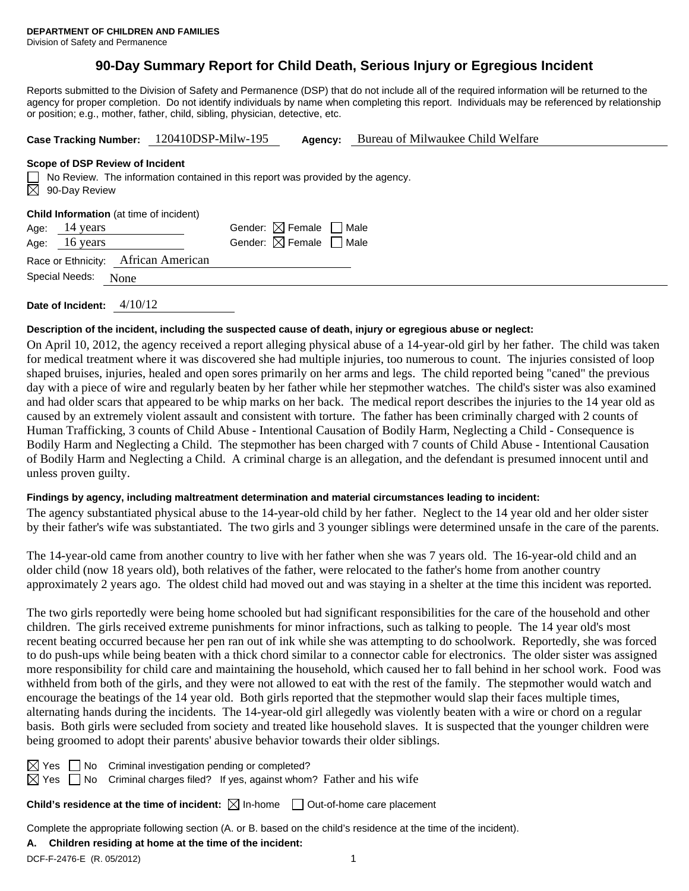# **90-Day Summary Report for Child Death, Serious Injury or Egregious Incident**

Reports submitted to the Division of Safety and Permanence (DSP) that do not include all of the required information will be returned to the agency for proper completion. Do not identify individuals by name when completing this report. Individuals may be referenced by relationship or position; e.g., mother, father, child, sibling, physician, detective, etc.

| Case Tracking Number: 120410DSP-Milw-195 | <b>Agency:</b> Bureau of Milwaukee Child Welfare |
|------------------------------------------|--------------------------------------------------|
|                                          |                                                  |

### **Scope of DSP Review of Incident**

| $\Box$ No Review. The information contained in this report was provided by the agency.<br>$\boxtimes$ 90-Day Review |                                        |
|---------------------------------------------------------------------------------------------------------------------|----------------------------------------|
| <b>Child Information</b> (at time of incident)<br>$\Delta$ ge $14$ vers                                             | Gender: $\boxtimes$ Female $\Box$ Male |

| Age: 14 years       |                                     | Gender: M Female   Male                |  |
|---------------------|-------------------------------------|----------------------------------------|--|
| Age: 16 years       |                                     | Gender: $\boxtimes$ Female $\Box$ Male |  |
|                     | Race or Ethnicity: African American |                                        |  |
| Special Needs: None |                                     |                                        |  |

**Date of Incident:** 4/10/12

### **Description of the incident, including the suspected cause of death, injury or egregious abuse or neglect:**

On April 10, 2012, the agency received a report alleging physical abuse of a 14-year-old girl by her father. The child was taken for medical treatment where it was discovered she had multiple injuries, too numerous to count. The injuries consisted of loop shaped bruises, injuries, healed and open sores primarily on her arms and legs. The child reported being "caned" the previous day with a piece of wire and regularly beaten by her father while her stepmother watches. The child's sister was also examined and had older scars that appeared to be whip marks on her back. The medical report describes the injuries to the 14 year old as caused by an extremely violent assault and consistent with torture. The father has been criminally charged with 2 counts of Human Trafficking, 3 counts of Child Abuse - Intentional Causation of Bodily Harm, Neglecting a Child - Consequence is Bodily Harm and Neglecting a Child. The stepmother has been charged with 7 counts of Child Abuse - Intentional Causation of Bodily Harm and Neglecting a Child. A criminal charge is an allegation, and the defendant is presumed innocent until and unless proven guilty.

## **Findings by agency, including maltreatment determination and material circumstances leading to incident:**

The agency substantiated physical abuse to the 14-year-old child by her father. Neglect to the 14 year old and her older sister by their father's wife was substantiated. The two girls and 3 younger siblings were determined unsafe in the care of the parents.

The 14-year-old came from another country to live with her father when she was 7 years old. The 16-year-old child and an older child (now 18 years old), both relatives of the father, were relocated to the father's home from another country approximately 2 years ago. The oldest child had moved out and was staying in a shelter at the time this incident was reported.

The two girls reportedly were being home schooled but had significant responsibilities for the care of the household and other children. The girls received extreme punishments for minor infractions, such as talking to people. The 14 year old's most recent beating occurred because her pen ran out of ink while she was attempting to do schoolwork. Reportedly, she was forced to do push-ups while being beaten with a thick chord similar to a connector cable for electronics. The older sister was assigned more responsibility for child care and maintaining the household, which caused her to fall behind in her school work. Food was withheld from both of the girls, and they were not allowed to eat with the rest of the family. The stepmother would watch and encourage the beatings of the 14 year old. Both girls reported that the stepmother would slap their faces multiple times, alternating hands during the incidents. The 14-year-old girl allegedly was violently beaten with a wire or chord on a regular basis. Both girls were secluded from society and treated like household slaves. It is suspected that the younger children were being groomed to adopt their parents' abusive behavior towards their older siblings.

 $\boxtimes$  Yes  $\Box$  No Criminal investigation pending or completed?

 $\boxtimes$  Yes  $\Box$  No Criminal charges filed? If yes, against whom? Father and his wife

**Child's residence at the time of incident:**  $\boxtimes$  In-home  $\Box$  Out-of-home care placement

Complete the appropriate following section (A. or B. based on the child's residence at the time of the incident).

### **A. Children residing at home at the time of the incident:**

DCF-F-2476-E (R. 05/2012) 1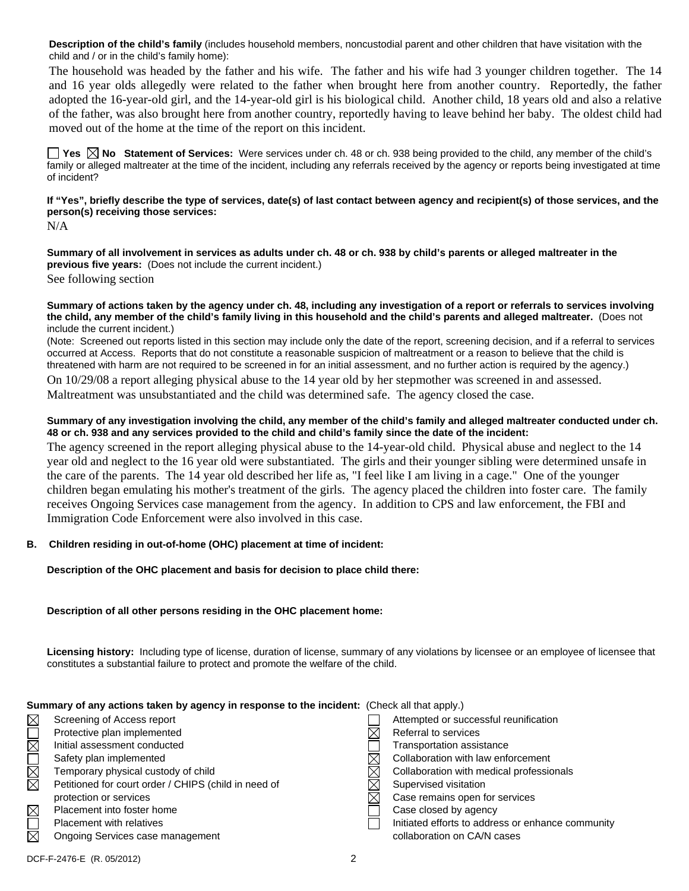**Description of the child's family** (includes household members, noncustodial parent and other children that have visitation with the child and / or in the child's family home):

The household was headed by the father and his wife. The father and his wife had 3 younger children together. The 14 and 16 year olds allegedly were related to the father when brought here from another country. Reportedly, the father adopted the 16-year-old girl, and the 14-year-old girl is his biological child. Another child, 18 years old and also a relative of the father, was also brought here from another country, reportedly having to leave behind her baby. The oldest child had moved out of the home at the time of the report on this incident.

**Yes**  $\boxtimes$  **No** Statement of Services: Were services under ch. 48 or ch. 938 being provided to the child, any member of the child's family or alleged maltreater at the time of the incident, including any referrals received by the agency or reports being investigated at time of incident?

## **If "Yes", briefly describe the type of services, date(s) of last contact between agency and recipient(s) of those services, and the person(s) receiving those services:**

N/A

**Summary of all involvement in services as adults under ch. 48 or ch. 938 by child's parents or alleged maltreater in the previous five years:** (Does not include the current incident.) See following section

#### **Summary of actions taken by the agency under ch. 48, including any investigation of a report or referrals to services involving the child, any member of the child's family living in this household and the child's parents and alleged maltreater.** (Does not include the current incident.)

(Note: Screened out reports listed in this section may include only the date of the report, screening decision, and if a referral to services occurred at Access. Reports that do not constitute a reasonable suspicion of maltreatment or a reason to believe that the child is threatened with harm are not required to be screened in for an initial assessment, and no further action is required by the agency.) On 10/29/08 a report alleging physical abuse to the 14 year old by her stepmother was screened in and assessed. Maltreatment was unsubstantiated and the child was determined safe. The agency closed the case.

## **Summary of any investigation involving the child, any member of the child's family and alleged maltreater conducted under ch. 48 or ch. 938 and any services provided to the child and child's family since the date of the incident:**

The agency screened in the report alleging physical abuse to the 14-year-old child. Physical abuse and neglect to the 14 year old and neglect to the 16 year old were substantiated. The girls and their younger sibling were determined unsafe in the care of the parents. The 14 year old described her life as, "I feel like I am living in a cage." One of the younger children began emulating his mother's treatment of the girls. The agency placed the children into foster care. The family receives Ongoing Services case management from the agency. In addition to CPS and law enforcement, the FBI and Immigration Code Enforcement were also involved in this case.

# **B. Children residing in out-of-home (OHC) placement at time of incident:**

**Description of the OHC placement and basis for decision to place child there:** 

### **Description of all other persons residing in the OHC placement home:**

**Licensing history:** Including type of license, duration of license, summary of any violations by licensee or an employee of licensee that constitutes a substantial failure to protect and promote the welfare of the child.

| Summary of any actions taken by agency in response to the incident: (Check all that apply.) |                                                      |   |                                                   |  |  |
|---------------------------------------------------------------------------------------------|------------------------------------------------------|---|---------------------------------------------------|--|--|
| $\boxtimes$                                                                                 | Screening of Access report                           |   | Attempted or successful reunification             |  |  |
| $\Box$                                                                                      | Protective plan implemented                          |   | Referral to services                              |  |  |
|                                                                                             | Initial assessment conducted                         |   | Transportation assistance                         |  |  |
| $\Box$                                                                                      | Safety plan implemented                              |   | Collaboration with law enforcement                |  |  |
|                                                                                             | Temporary physical custody of child                  |   | Collaboration with medical professionals          |  |  |
| ⊠                                                                                           | Petitioned for court order / CHIPS (child in need of |   | Supervised visitation                             |  |  |
|                                                                                             | protection or services                               | M | Case remains open for services                    |  |  |
| $\boxtimes$                                                                                 | Placement into foster home                           |   | Case closed by agency                             |  |  |
| $\Box$                                                                                      | Placement with relatives                             |   | Initiated efforts to address or enhance community |  |  |
| 冈                                                                                           | Ongoing Services case management                     |   | collaboration on CA/N cases                       |  |  |